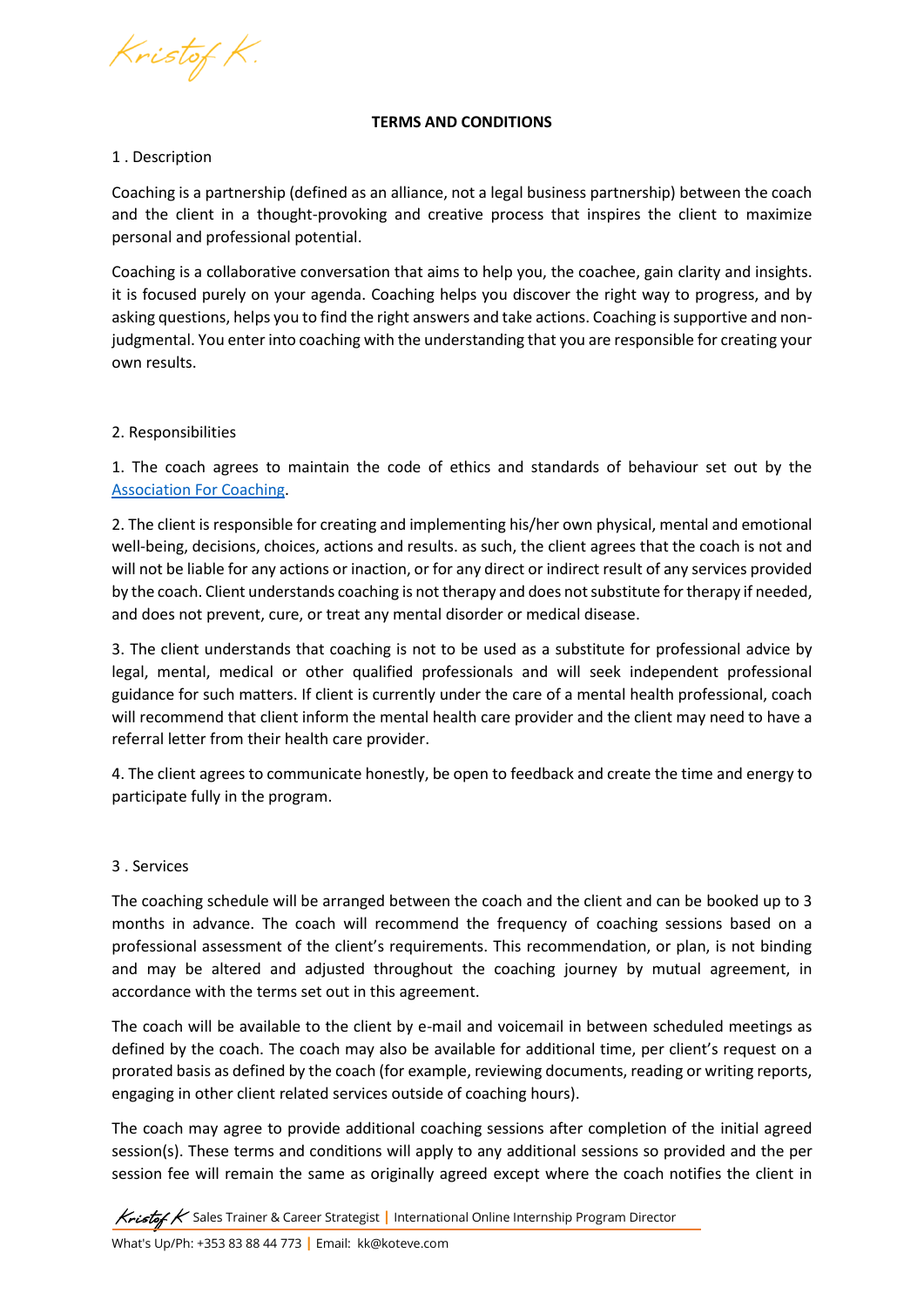Kristof K.

#### **TERMS AND CONDITIONS**

## 1 . Description

Coaching is a partnership (defined as an alliance, not a legal business partnership) between the coach and the client in a thought-provoking and creative process that inspires the client to maximize personal and professional potential.

Coaching is a collaborative conversation that aims to help you, the coachee, gain clarity and insights. it is focused purely on your agenda. Coaching helps you discover the right way to progress, and by asking questions, helps you to find the right answers and take actions. Coaching is supportive and nonjudgmental. You enter into coaching with the understanding that you are responsible for creating your own results.

# 2. Responsibilities

1. The coach agrees to maintain the code of ethics and standards of behaviour set out by the [Association For Coaching.](https://www.associationforcoaching.com/page/AboutCodeEthics#:~:text=The%20Code%20sets%20the%20expectation,conduct%20for%20all%20our%20members)

2. The client is responsible for creating and implementing his/her own physical, mental and emotional well-being, decisions, choices, actions and results. as such, the client agrees that the coach is not and will not be liable for any actions or inaction, or for any direct or indirect result of any services provided by the coach. Client understands coaching is not therapy and does not substitute for therapy if needed, and does not prevent, cure, or treat any mental disorder or medical disease.

3. The client understands that coaching is not to be used as a substitute for professional advice by legal, mental, medical or other qualified professionals and will seek independent professional guidance for such matters. If client is currently under the care of a mental health professional, coach will recommend that client inform the mental health care provider and the client may need to have a referral letter from their health care provider.

4. The client agrees to communicate honestly, be open to feedback and create the time and energy to participate fully in the program.

## 3 . Services

The coaching schedule will be arranged between the coach and the client and can be booked up to 3 months in advance. The coach will recommend the frequency of coaching sessions based on a professional assessment of the client's requirements. This recommendation, or plan, is not binding and may be altered and adjusted throughout the coaching journey by mutual agreement, in accordance with the terms set out in this agreement.

The coach will be available to the client by e-mail and voicemail in between scheduled meetings as defined by the coach. The coach may also be available for additional time, per client's request on a prorated basis as defined by the coach (for example, reviewing documents, reading or writing reports, engaging in other client related services outside of coaching hours).

The coach may agree to provide additional coaching sessions after completion of the initial agreed session(s). These terms and conditions will apply to any additional sessions so provided and the per session fee will remain the same as originally agreed except where the coach notifies the client in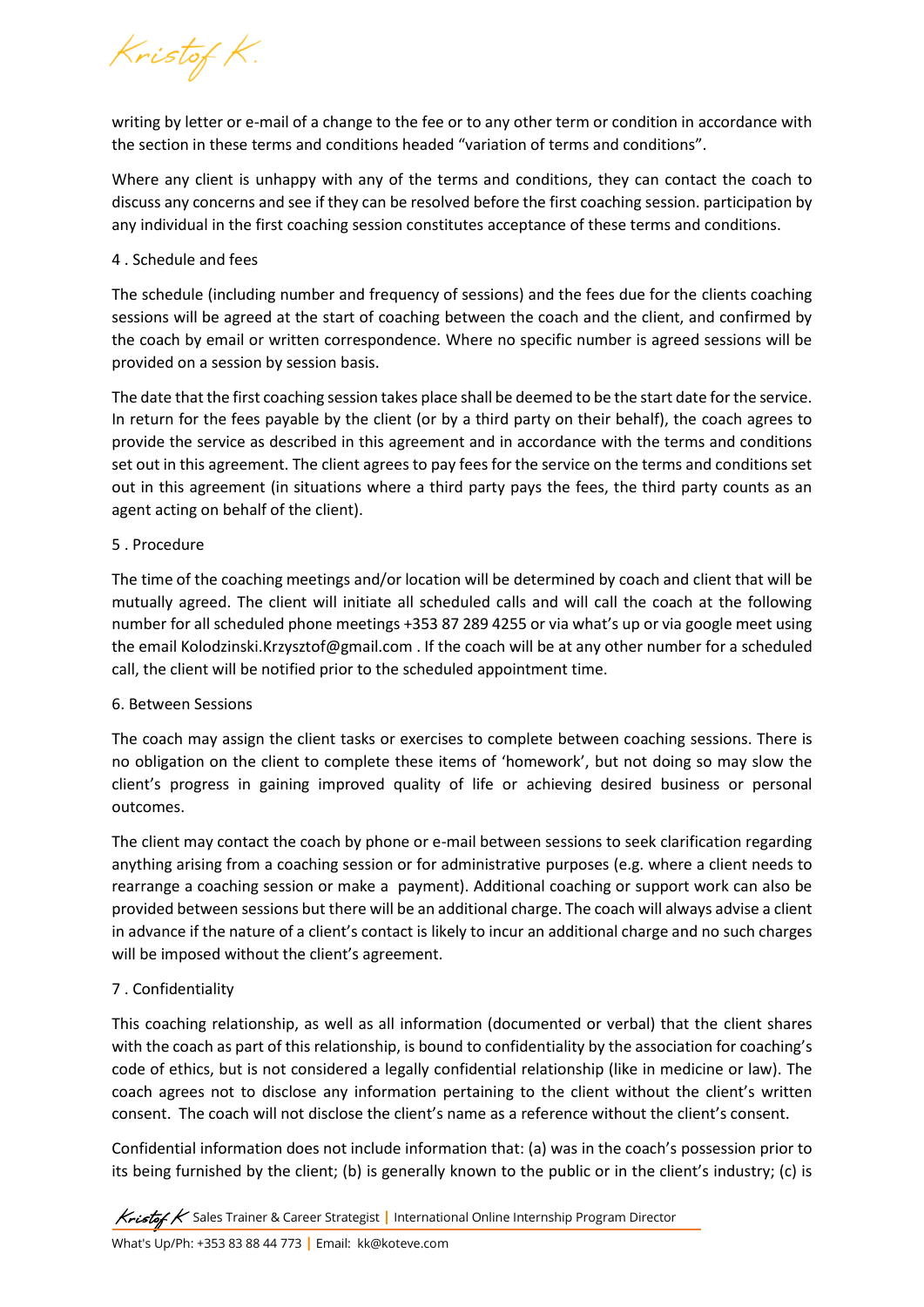Kristof K.

writing by letter or e-mail of a change to the fee or to any other term or condition in accordance with the section in these terms and conditions headed "variation of terms and conditions".

Where any client is unhappy with any of the terms and conditions, they can contact the coach to discuss any concerns and see if they can be resolved before the first coaching session. participation by any individual in the first coaching session constitutes acceptance of these terms and conditions.

# 4 . Schedule and fees

The schedule (including number and frequency of sessions) and the fees due for the clients coaching sessions will be agreed at the start of coaching between the coach and the client, and confirmed by the coach by email or written correspondence. Where no specific number is agreed sessions will be provided on a session by session basis.

The date that the first coaching session takes place shall be deemed to be the start date for the service. In return for the fees payable by the client (or by a third party on their behalf), the coach agrees to provide the service as described in this agreement and in accordance with the terms and conditions set out in this agreement. The client agrees to pay fees for the service on the terms and conditions set out in this agreement (in situations where a third party pays the fees, the third party counts as an agent acting on behalf of the client).

# 5 . Procedure

The time of the coaching meetings and/or location will be determined by coach and client that will be mutually agreed. The client will initiate all scheduled calls and will call the coach at the following number for all scheduled phone meetings +353 87 289 4255 or via what's up or via google meet using the email Kolodzinski.Krzysztof@gmail.com . If the coach will be at any other number for a scheduled call, the client will be notified prior to the scheduled appointment time.

# 6. Between Sessions

The coach may assign the client tasks or exercises to complete between coaching sessions. There is no obligation on the client to complete these items of 'homework', but not doing so may slow the client's progress in gaining improved quality of life or achieving desired business or personal outcomes.

The client may contact the coach by phone or e-mail between sessions to seek clarification regarding anything arising from a coaching session or for administrative purposes (e.g. where a client needs to rearrange a coaching session or make a payment). Additional coaching or support work can also be provided between sessions but there will be an additional charge. The coach will always advise a client in advance if the nature of a client's contact is likely to incur an additional charge and no such charges will be imposed without the client's agreement.

# 7 . Confidentiality

This coaching relationship, as well as all information (documented or verbal) that the client shares with the coach as part of this relationship, is bound to confidentiality by the association for coaching's code of ethics, but is not considered a legally confidential relationship (like in medicine or law). The coach agrees not to disclose any information pertaining to the client without the client's written consent. The coach will not disclose the client's name as a reference without the client's consent.

Confidential information does not include information that: (a) was in the coach's possession prior to its being furnished by the client; (b) is generally known to the public or in the client's industry; (c) is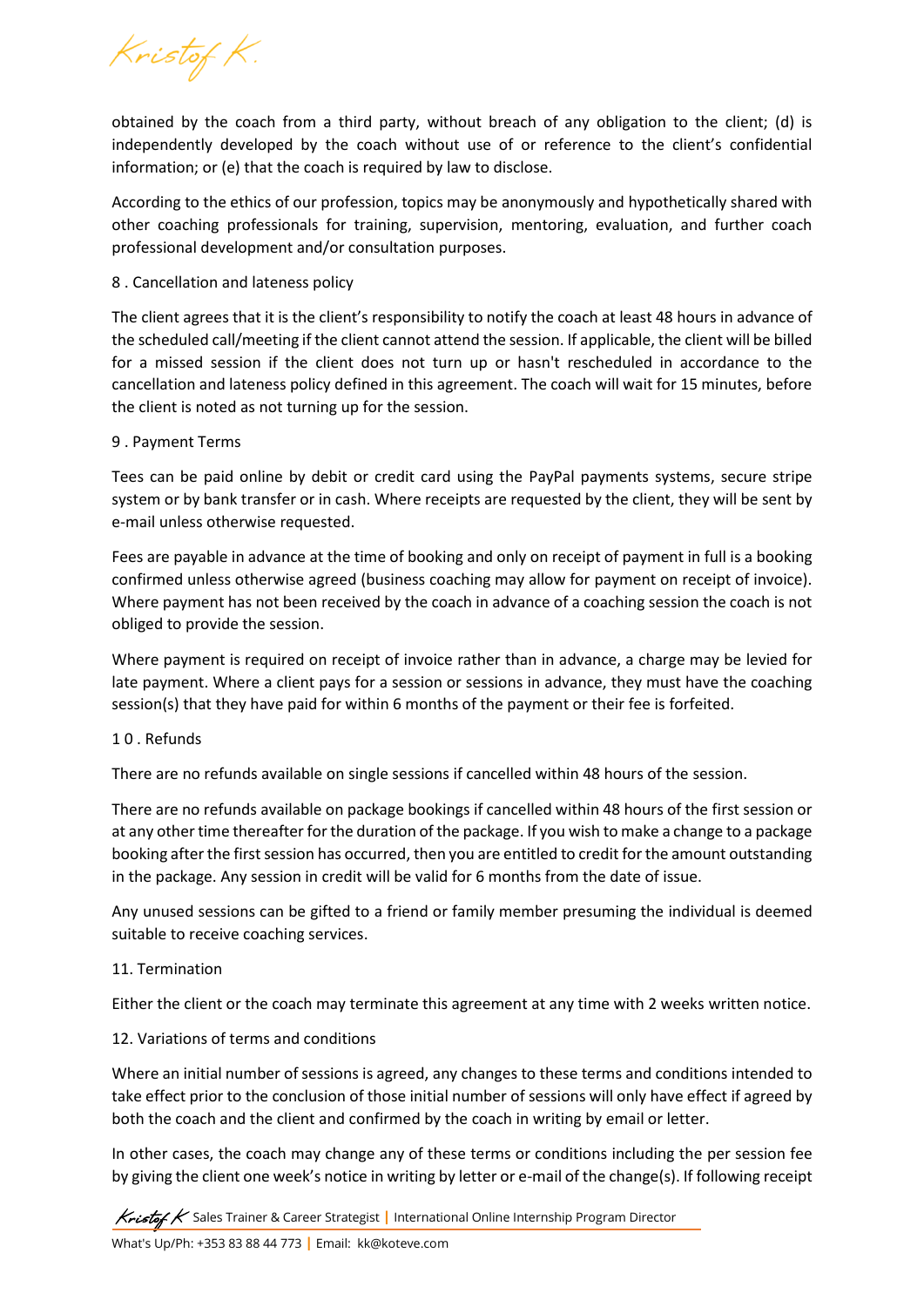Kristof K.

obtained by the coach from a third party, without breach of any obligation to the client; (d) is independently developed by the coach without use of or reference to the client's confidential information; or (e) that the coach is required by law to disclose.

According to the ethics of our profession, topics may be anonymously and hypothetically shared with other coaching professionals for training, supervision, mentoring, evaluation, and further coach professional development and/or consultation purposes.

## 8 . Cancellation and lateness policy

The client agrees that it is the client's responsibility to notify the coach at least 48 hours in advance of the scheduled call/meeting if the client cannot attend the session. If applicable, the client will be billed for a missed session if the client does not turn up or hasn't rescheduled in accordance to the cancellation and lateness policy defined in this agreement. The coach will wait for 15 minutes, before the client is noted as not turning up for the session.

# 9 . Payment Terms

Tees can be paid online by debit or credit card using the PayPal payments systems, secure stripe system or by bank transfer or in cash. Where receipts are requested by the client, they will be sent by e-mail unless otherwise requested.

Fees are payable in advance at the time of booking and only on receipt of payment in full is a booking confirmed unless otherwise agreed (business coaching may allow for payment on receipt of invoice). Where payment has not been received by the coach in advance of a coaching session the coach is not obliged to provide the session.

Where payment is required on receipt of invoice rather than in advance, a charge may be levied for late payment. Where a client pays for a session or sessions in advance, they must have the coaching session(s) that they have paid for within 6 months of the payment or their fee is forfeited.

## 1 0 . Refunds

There are no refunds available on single sessions if cancelled within 48 hours of the session.

There are no refunds available on package bookings if cancelled within 48 hours of the first session or at any other time thereafter for the duration of the package. If you wish to make a change to a package booking after the first session has occurred, then you are entitled to credit for the amount outstanding in the package. Any session in credit will be valid for 6 months from the date of issue.

Any unused sessions can be gifted to a friend or family member presuming the individual is deemed suitable to receive coaching services.

## 11. Termination

Either the client or the coach may terminate this agreement at any time with 2 weeks written notice.

## 12. Variations of terms and conditions

Where an initial number of sessions is agreed, any changes to these terms and conditions intended to take effect prior to the conclusion of those initial number of sessions will only have effect if agreed by both the coach and the client and confirmed by the coach in writing by email or letter.

In other cases, the coach may change any of these terms or conditions including the per session fee by giving the client one week's notice in writing by letter or e-mail of the change(s). If following receipt